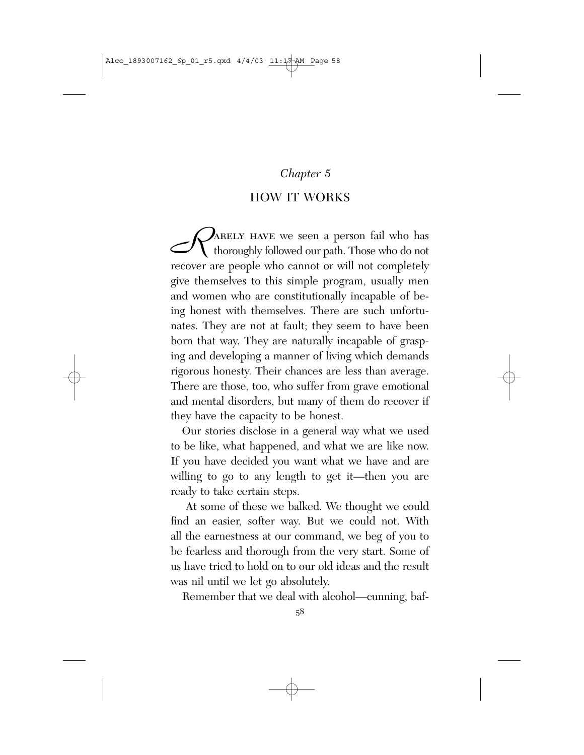## *Chapter 5*

## HOW IT WORKS

ARELY HAVE we seen a person fail who has thoroughly followed our path. Those who do not recover are people who cannot or will not completely give themselves to this simple program, usually men and women who are constitutionally incapable of being honest with themselves. There are such unfortunates. They are not at fault; they seem to have been born that way. They are naturally incapable of grasping and developing a manner of living which demands rigorous honesty. Their chances are less than average. There are those, too, who suffer from grave emotional and mental disorders, but many of them do recover if they have the capacity to be honest.

Our stories disclose in a general way what we used to be like, what happened, and what we are like now. If you have decided you want what we have and are willing to go to any length to get it—then you are ready to take certain steps.

At some of these we balked. We thought we could find an easier, softer way. But we could not. With all the earnestness at our command, we beg of you to be fearless and thorough from the very start. Some of us have tried to hold on to our old ideas and the result was nil until we let go absolutely.

Remember that we deal with alcohol—cunning, baf-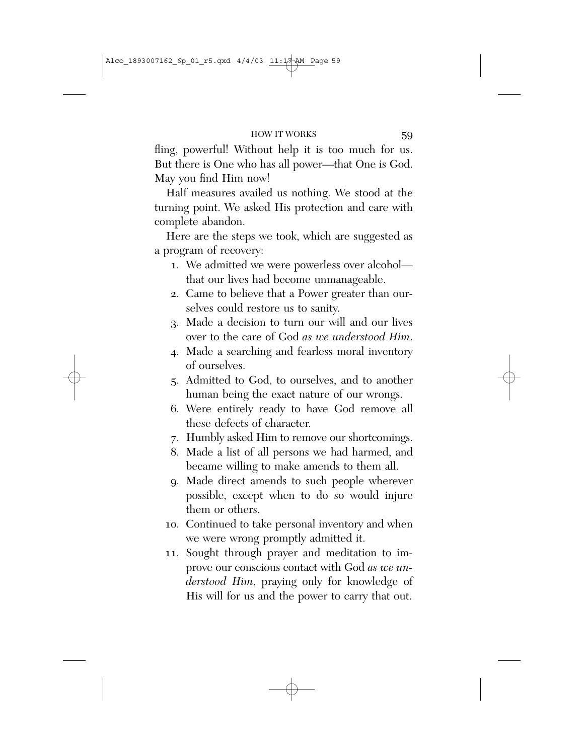fling, powerful! Without help it is too much for us. But there is One who has all power—that One is God. May you find Him now!

Half measures availed us nothing. We stood at the turning point. We asked His protection and care with complete abandon.

Here are the steps we took, which are suggested as a program of recovery:

- 1. We admitted we were powerless over alcohol that our lives had become unmanageable.
- 2. Came to believe that a Power greater than ourselves could restore us to sanity.
- 3. Made a decision to turn our will and our lives over to the care of God *as we understood Him*.
- 4. Made a searching and fearless moral inventory of ourselves.
- 5. Admitted to God, to ourselves, and to another human being the exact nature of our wrongs.
- 6. Were entirely ready to have God remove all these defects of character.
- 7. Humbly asked Him to remove our shortcomings.
- 8. Made a list of all persons we had harmed, and became willing to make amends to them all.
- 9. Made direct amends to such people wherever possible, except when to do so would injure them or others.
- 10. Continued to take personal inventory and when we were wrong promptly admitted it.
- 11. Sought through prayer and meditation to improve our conscious contact with God *as we understood Him*, praying only for knowledge of His will for us and the power to carry that out.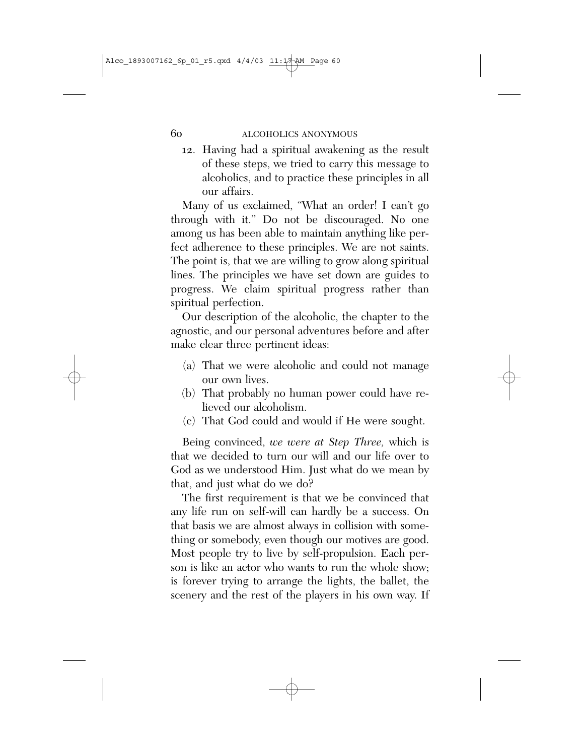12. Having had a spiritual awakening as the result of these steps, we tried to carry this message to alcoholics, and to practice these principles in all our affairs.

Many of us exclaimed, "What an order! I can't go through with it.'' Do not be discouraged. No one among us has been able to maintain anything like perfect adherence to these principles. We are not saints. The point is, that we are willing to grow along spiritual lines. The principles we have set down are guides to progress. We claim spiritual progress rather than spiritual perfection.

Our description of the alcoholic, the chapter to the agnostic, and our personal adventures before and after make clear three pertinent ideas:

- (a) That we were alcoholic and could not manage our own lives.
- (b) That probably no human power could have relieved our alcoholism.
- (c) That God could and would if He were sought.

Being convinced, *we were at Step Three,* which is that we decided to turn our will and our life over to God as we understood Him. Just what do we mean by that, and just what do we do?

The first requirement is that we be convinced that any life run on self-will can hardly be a success. On that basis we are almost always in collision with something or somebody, even though our motives are good. Most people try to live by self-propulsion. Each person is like an actor who wants to run the whole show; is forever trying to arrange the lights, the ballet, the scenery and the rest of the players in his own way. If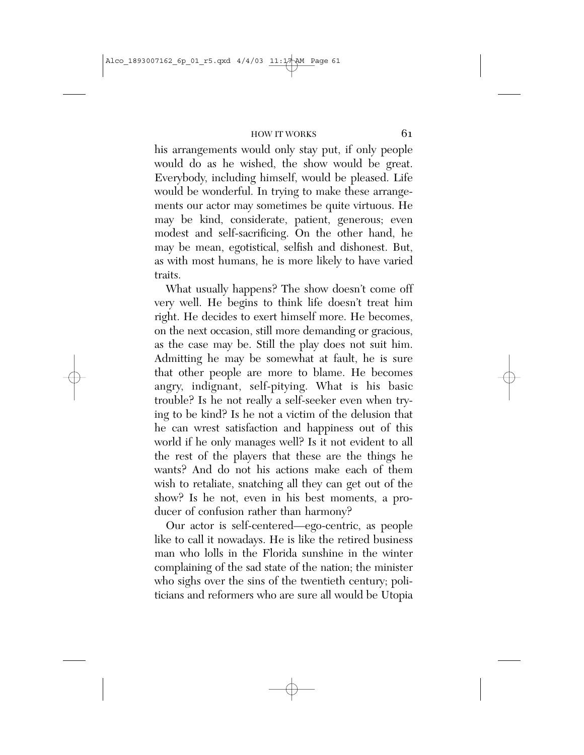his arrangements would only stay put, if only people would do as he wished, the show would be great. Everybody, including himself, would be pleased. Life would be wonderful. In trying to make these arrangements our actor may sometimes be quite virtuous. He may be kind, considerate, patient, generous; even modest and self-sacrificing. On the other hand, he may be mean, egotistical, selfish and dishonest. But, as with most humans, he is more likely to have varied traits.

What usually happens? The show doesn't come off very well. He begins to think life doesn't treat him right. He decides to exert himself more. He becomes, on the next occasion, still more demanding or gracious, as the case may be. Still the play does not suit him. Admitting he may be somewhat at fault, he is sure that other people are more to blame. He becomes angry, indignant, self-pitying. What is his basic trouble? Is he not really a self-seeker even when trying to be kind? Is he not a victim of the delusion that he can wrest satisfaction and happiness out of this world if he only manages well? Is it not evident to all the rest of the players that these are the things he wants? And do not his actions make each of them wish to retaliate, snatching all they can get out of the show? Is he not, even in his best moments, a producer of confusion rather than harmony?

Our actor is self-centered—ego-centric, as people like to call it nowadays. He is like the retired business man who lolls in the Florida sunshine in the winter complaining of the sad state of the nation; the minister who sighs over the sins of the twentieth century; politicians and reformers who are sure all would be Utopia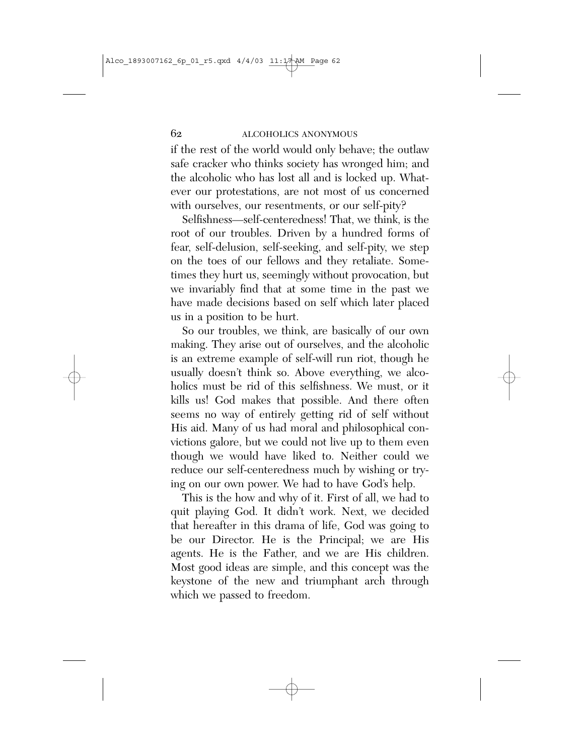if the rest of the world would only behave; the outlaw safe cracker who thinks society has wronged him; and the alcoholic who has lost all and is locked up. Whatever our protestations, are not most of us concerned with ourselves, our resentments, or our self-pity?

Selfishness—self-centeredness! That, we think, is the root of our troubles. Driven by a hundred forms of fear, self-delusion, self-seeking, and self-pity, we step on the toes of our fellows and they retaliate. Sometimes they hurt us, seemingly without provocation, but we invariably find that at some time in the past we have made decisions based on self which later placed us in a position to be hurt.

So our troubles, we think, are basically of our own making. They arise out of ourselves, and the alcoholic is an extreme example of self-will run riot, though he usually doesn't think so. Above everything, we alcoholics must be rid of this selfishness. We must, or it kills us! God makes that possible. And there often seems no way of entirely getting rid of self without His aid. Many of us had moral and philosophical convictions galore, but we could not live up to them even though we would have liked to. Neither could we reduce our self-centeredness much by wishing or trying on our own power. We had to have God's help.

This is the how and why of it. First of all, we had to quit playing God. It didn't work. Next, we decided that hereafter in this drama of life, God was going to be our Director. He is the Principal; we are His agents. He is the Father, and we are His children. Most good ideas are simple, and this concept was the keystone of the new and triumphant arch through which we passed to freedom.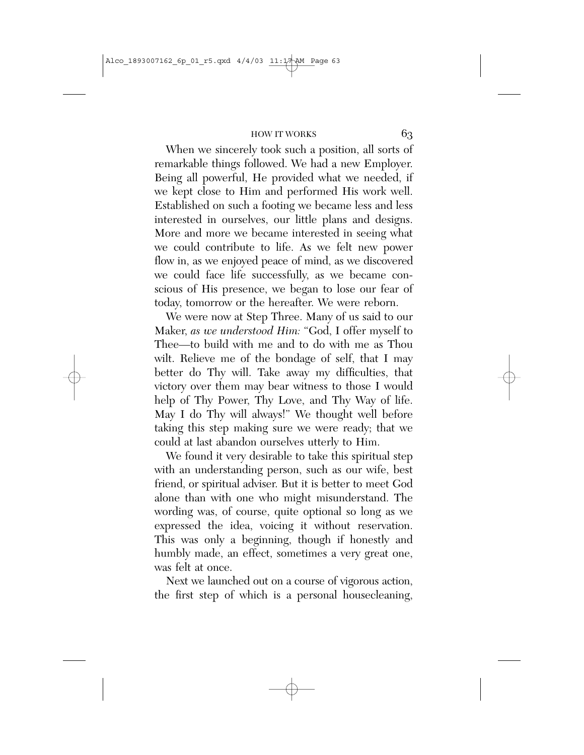When we sincerely took such a position, all sorts of remarkable things followed. We had a new Employer. Being all powerful, He provided what we needed, if we kept close to Him and performed His work well. Established on such a footing we became less and less interested in ourselves, our little plans and designs. More and more we became interested in seeing what we could contribute to life. As we felt new power flow in, as we enjoyed peace of mind, as we discovered we could face life successfully, as we became conscious of His presence, we began to lose our fear of today, tomorrow or the hereafter. We were reborn.

We were now at Step Three. Many of us said to our Maker, *as we understood Him:* "God, I offer myself to Thee—to build with me and to do with me as Thou wilt. Relieve me of the bondage of self, that I may better do Thy will. Take away my difficulties, that victory over them may bear witness to those I would help of Thy Power, Thy Love, and Thy Way of life. May I do Thy will always!'' We thought well before taking this step making sure we were ready; that we could at last abandon ourselves utterly to Him.

We found it very desirable to take this spiritual step with an understanding person, such as our wife, best friend, or spiritual adviser. But it is better to meet God alone than with one who might misunderstand. The wording was, of course, quite optional so long as we expressed the idea, voicing it without reservation. This was only a beginning, though if honestly and humbly made, an effect, sometimes a very great one, was felt at once.

Next we launched out on a course of vigorous action, the first step of which is a personal housecleaning,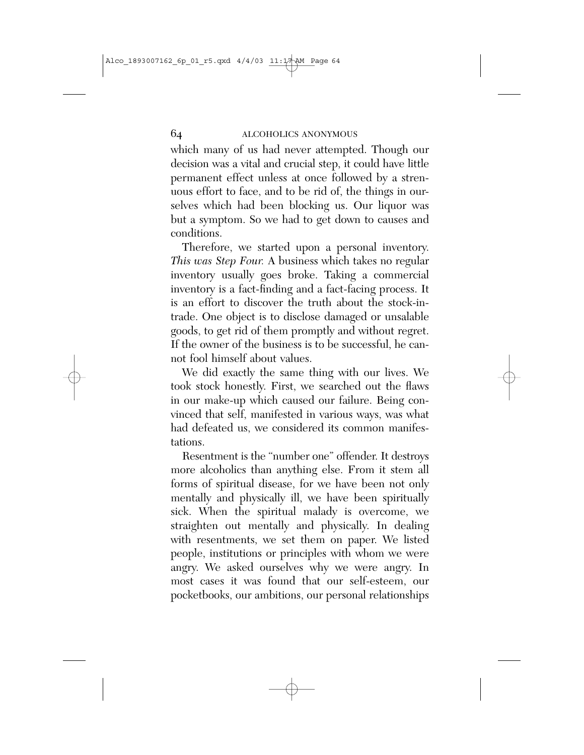which many of us had never attempted. Though our decision was a vital and crucial step, it could have little permanent effect unless at once followed by a strenuous effort to face, and to be rid of, the things in ourselves which had been blocking us. Our liquor was but a symptom. So we had to get down to causes and conditions.

Therefore, we started upon a personal inventory. *This was Step Four.* A business which takes no regular inventory usually goes broke. Taking a commercial inventory is a fact-finding and a fact-facing process. It is an effort to discover the truth about the stock-intrade. One object is to disclose damaged or unsalable goods, to get rid of them promptly and without regret. If the owner of the business is to be successful, he cannot fool himself about values.

We did exactly the same thing with our lives. We took stock honestly. First, we searched out the flaws in our make-up which caused our failure. Being convinced that self, manifested in various ways, was what had defeated us, we considered its common manifestations.

Resentment is the "number one'' offender. It destroys more alcoholics than anything else. From it stem all forms of spiritual disease, for we have been not only mentally and physically ill, we have been spiritually sick. When the spiritual malady is overcome, we straighten out mentally and physically. In dealing with resentments, we set them on paper. We listed people, institutions or principles with whom we were angry. We asked ourselves why we were angry. In most cases it was found that our self-esteem, our pocketbooks, our ambitions, our personal relationships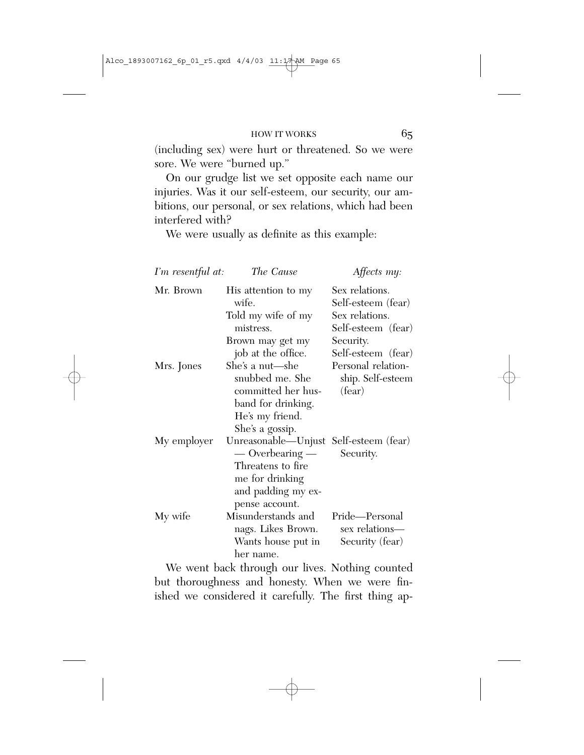(including sex) were hurt or threatened. So we were sore. We were "burned up.''

On our grudge list we set opposite each name our injuries. Was it our self-esteem, our security, our ambitions, our personal, or sex relations, which had been interfered with?

We were usually as definite as this example:

| I'm resentful at: | The Cause                              | Affects my:                          |
|-------------------|----------------------------------------|--------------------------------------|
| Mr. Brown         | His attention to my<br>wife.           | Sex relations.<br>Self-esteem (fear) |
|                   | Told my wife of my                     | Sex relations.                       |
|                   | mistress.                              | Self-esteem (fear)                   |
|                   | Brown may get my                       | Security.                            |
|                   | job at the office.                     | Self-esteem (fear)                   |
| Mrs. Jones        | She's a nut—she                        | Personal relation-                   |
|                   | snubbed me. She                        | ship. Self-esteem                    |
|                   | committed her hus-                     | (fear)                               |
|                   | band for drinking.                     |                                      |
|                   | He's my friend.                        |                                      |
|                   | She's a gossip.                        |                                      |
| My employer       | Unreasonable—Unjust Self-esteem (fear) |                                      |
|                   | — Overbearing —                        | Security.                            |
|                   | Threatens to fire                      |                                      |
|                   | me for drinking                        |                                      |
|                   | and padding my ex-<br>pense account.   |                                      |
| My wife           | Misunderstands and                     | Pride-Personal                       |
|                   | nags. Likes Brown.                     | sex relations-                       |
|                   | Wants house put in                     | Security (fear)                      |
|                   | her name.                              |                                      |

We went back through our lives. Nothing counted but thoroughness and honesty. When we were finished we considered it carefully. The first thing ap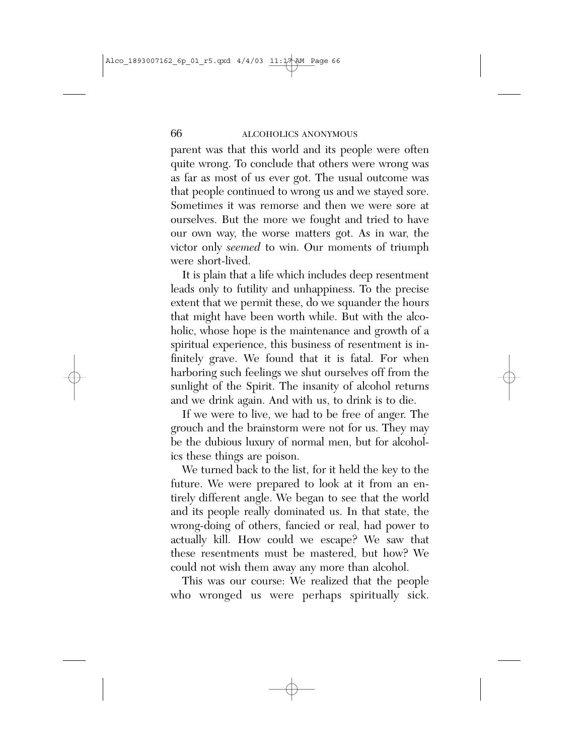parent was that this world and its people were often quite wrong. To conclude that others were wrong was as far as most of us ever got. The usual outcome was that people continued to wrong us and we stayed sore. Sometimes it was remorse and then we were sore at ourselves. But the more we fought and tried to have our own way, the worse matters got. As in war, the victor only *seemed* to win. Our moments of triumph were short-lived.

It is plain that a life which includes deep resentment leads only to futility and unhappiness. To the precise extent that we permit these, do we squander the hours that might have been worth while. But with the alcoholic, whose hope is the maintenance and growth of a spiritual experience, this business of resentment is infinitely grave. We found that it is fatal. For when harboring such feelings we shut ourselves off from the sunlight of the Spirit. The insanity of alcohol returns and we drink again. And with us, to drink is to die.

If we were to live, we had to be free of anger. The grouch and the brainstorm were not for us. They may be the dubious luxury of normal men, but for alcoholics these things are poison.

We turned back to the list, for it held the key to the future. We were prepared to look at it from an entirely different angle. We began to see that the world and its people really dominated us. In that state, the wrong-doing of others, fancied or real, had power to actually kill. How could we escape? We saw that these resentments must be mastered, but how? We could not wish them away any more than alcohol.

This was our course: We realized that the people who wronged us were perhaps spiritually sick.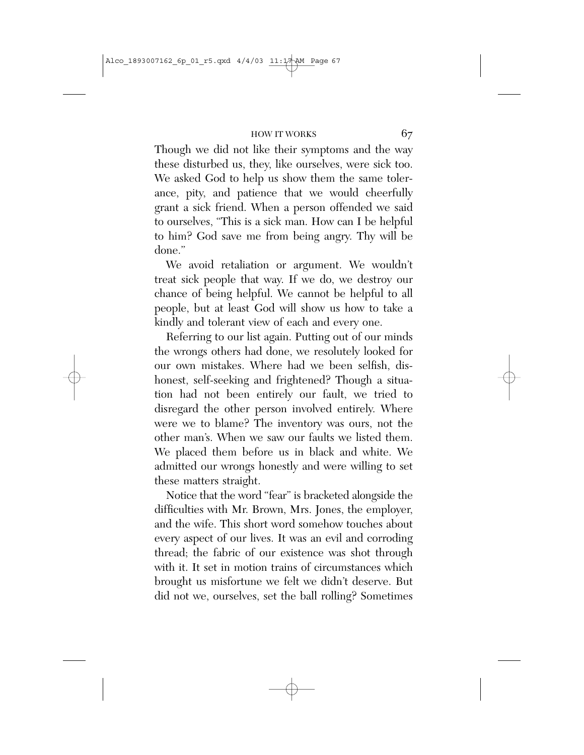Though we did not like their symptoms and the way these disturbed us, they, like ourselves, were sick too. We asked God to help us show them the same tolerance, pity, and patience that we would cheerfully grant a sick friend. When a person offended we said to ourselves, "This is a sick man. How can I be helpful to him? God save me from being angry. Thy will be done.''

We avoid retaliation or argument. We wouldn't treat sick people that way. If we do, we destroy our chance of being helpful. We cannot be helpful to all people, but at least God will show us how to take a kindly and tolerant view of each and every one.

Referring to our list again. Putting out of our minds the wrongs others had done, we resolutely looked for our own mistakes. Where had we been selfish, dishonest, self-seeking and frightened? Though a situation had not been entirely our fault, we tried to disregard the other person involved entirely. Where were we to blame? The inventory was ours, not the other man's. When we saw our faults we listed them. We placed them before us in black and white. We admitted our wrongs honestly and were willing to set these matters straight.

Notice that the word "fear'' is bracketed alongside the difficulties with Mr. Brown, Mrs. Jones, the employer, and the wife. This short word somehow touches about every aspect of our lives. It was an evil and corroding thread; the fabric of our existence was shot through with it. It set in motion trains of circumstances which brought us misfortune we felt we didn't deserve. But did not we, ourselves, set the ball rolling? Sometimes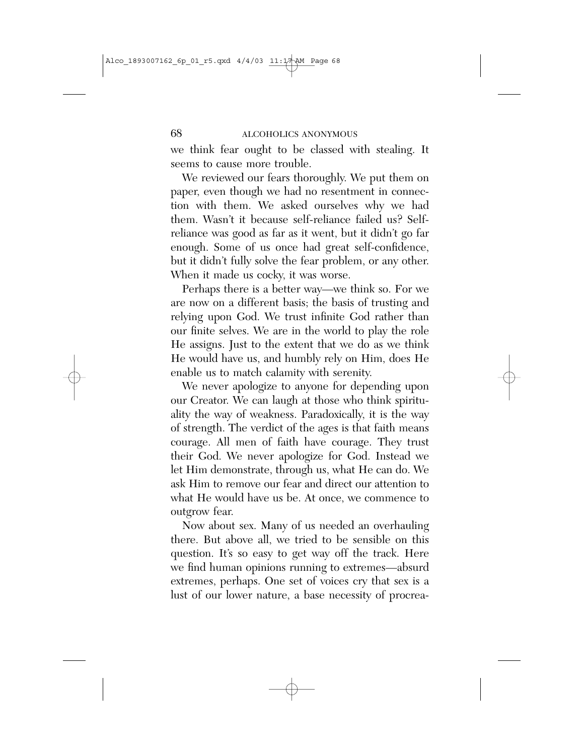we think fear ought to be classed with stealing. It seems to cause more trouble.

We reviewed our fears thoroughly. We put them on paper, even though we had no resentment in connection with them. We asked ourselves why we had them. Wasn't it because self-reliance failed us? Selfreliance was good as far as it went, but it didn't go far enough. Some of us once had great self-confidence, but it didn't fully solve the fear problem, or any other. When it made us cocky, it was worse.

Perhaps there is a better way—we think so. For we are now on a different basis; the basis of trusting and relying upon God. We trust infinite God rather than our finite selves. We are in the world to play the role He assigns. Just to the extent that we do as we think He would have us, and humbly rely on Him, does He enable us to match calamity with serenity.

We never apologize to anyone for depending upon our Creator. We can laugh at those who think spirituality the way of weakness. Paradoxically, it is the way of strength. The verdict of the ages is that faith means courage. All men of faith have courage. They trust their God. We never apologize for God. Instead we let Him demonstrate, through us, what He can do. We ask Him to remove our fear and direct our attention to what He would have us be. At once, we commence to outgrow fear.

Now about sex. Many of us needed an overhauling there. But above all, we tried to be sensible on this question. It's so easy to get way off the track. Here we find human opinions running to extremes—absurd extremes, perhaps. One set of voices cry that sex is a lust of our lower nature, a base necessity of procrea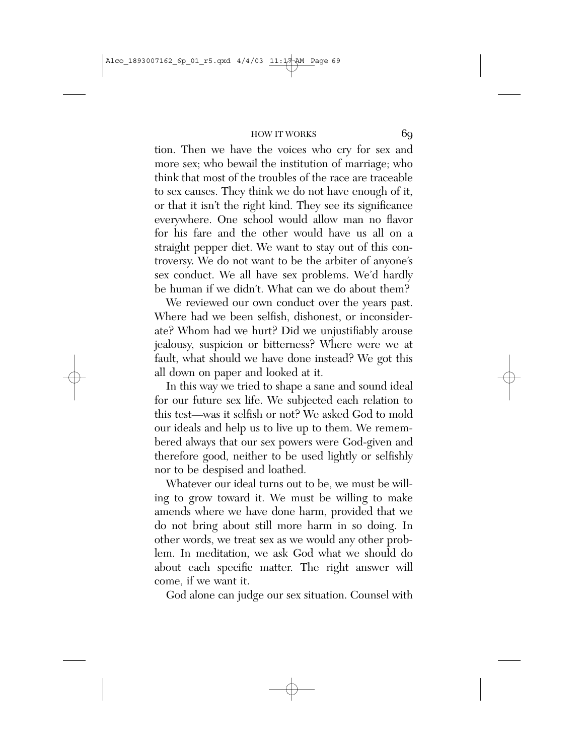tion. Then we have the voices who cry for sex and more sex; who bewail the institution of marriage; who think that most of the troubles of the race are traceable to sex causes. They think we do not have enough of it, or that it isn't the right kind. They see its significance everywhere. One school would allow man no flavor for his fare and the other would have us all on a straight pepper diet. We want to stay out of this controversy. We do not want to be the arbiter of anyone's sex conduct. We all have sex problems. We'd hardly be human if we didn't. What can we do about them?

We reviewed our own conduct over the years past. Where had we been selfish, dishonest, or inconsiderate? Whom had we hurt? Did we unjustifiably arouse jealousy, suspicion or bitterness? Where were we at fault, what should we have done instead? We got this all down on paper and looked at it.

In this way we tried to shape a sane and sound ideal for our future sex life. We subjected each relation to this test—was it selfish or not? We asked God to mold our ideals and help us to live up to them. We remembered always that our sex powers were God-given and therefore good, neither to be used lightly or selfishly nor to be despised and loathed.

Whatever our ideal turns out to be, we must be willing to grow toward it. We must be willing to make amends where we have done harm, provided that we do not bring about still more harm in so doing. In other words, we treat sex as we would any other problem. In meditation, we ask God what we should do about each specific matter. The right answer will come, if we want it.

God alone can judge our sex situation. Counsel with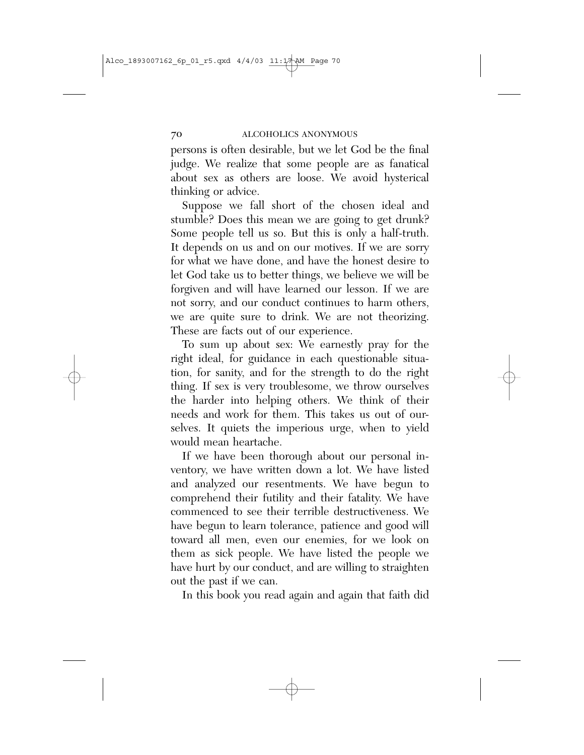persons is often desirable, but we let God be the final judge. We realize that some people are as fanatical about sex as others are loose. We avoid hysterical thinking or advice.

Suppose we fall short of the chosen ideal and stumble? Does this mean we are going to get drunk? Some people tell us so. But this is only a half-truth. It depends on us and on our motives. If we are sorry for what we have done, and have the honest desire to let God take us to better things, we believe we will be forgiven and will have learned our lesson. If we are not sorry, and our conduct continues to harm others, we are quite sure to drink. We are not theorizing. These are facts out of our experience.

To sum up about sex: We earnestly pray for the right ideal, for guidance in each questionable situation, for sanity, and for the strength to do the right thing. If sex is very troublesome, we throw ourselves the harder into helping others. We think of their needs and work for them. This takes us out of ourselves. It quiets the imperious urge, when to yield would mean heartache.

If we have been thorough about our personal inventory, we have written down a lot. We have listed and analyzed our resentments. We have begun to comprehend their futility and their fatality. We have commenced to see their terrible destructiveness. We have begun to learn tolerance, patience and good will toward all men, even our enemies, for we look on them as sick people. We have listed the people we have hurt by our conduct, and are willing to straighten out the past if we can.

In this book you read again and again that faith did